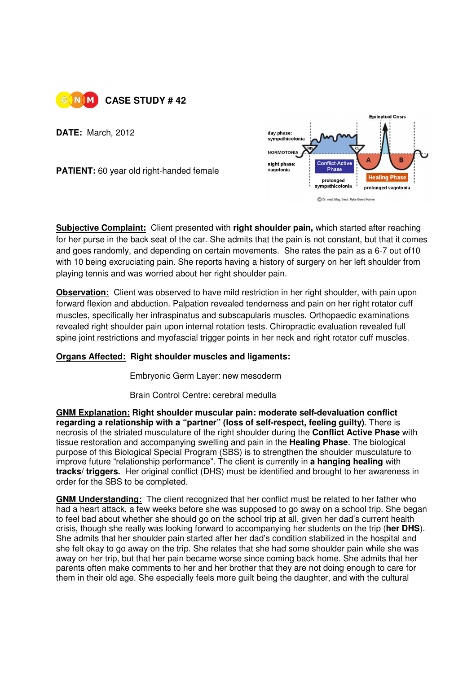

**DATE:** March, 2012

**PATIENT:** 60 year old right-handed female



**Subjective Complaint:** Client presented with **right shoulder pain,** which started after reaching for her purse in the back seat of the car. She admits that the pain is not constant, but that it comes and goes randomly, and depending on certain movements. She rates the pain as a 6-7 out of10 with 10 being excruciating pain. She reports having a history of surgery on her left shoulder from playing tennis and was worried about her right shoulder pain.

**Observation:** Client was observed to have mild restriction in her right shoulder, with pain upon forward flexion and abduction. Palpation revealed tenderness and pain on her right rotator cuff muscles, specifically her infraspinatus and subscapularis muscles. Orthopaedic examinations revealed right shoulder pain upon internal rotation tests. Chiropractic evaluation revealed full spine joint restrictions and myofascial trigger points in her neck and right rotator cuff muscles.

## **Organs Affected: Right shoulder muscles and ligaments:**

**Embryonic Germ Layer: new mesoderm** 

Brain Control Centre: cerebral medulla

**GNM Explanation: Right shoulder muscular pain: moderate self-devaluation conflict regarding a relationship with a "partner" (loss of self-respect, feeling guilty)**. There is necrosis of the striated musculature of the right shoulder during the **Conflict Active Phase** with tissue restoration and accompanying swelling and pain in the **Healing Phase**. The biological purpose of this Biological Special Program (SBS) is to strengthen the shoulder musculature to improve future "relationship performance". The client is currently in **a hanging healing** with **tracks/ triggers.** Her original conflict (DHS) must be identified and brought to her awareness in order for the SBS to be completed.

**GNM Understanding:** The client recognized that her conflict must be related to her father who had a heart attack, a few weeks before she was supposed to go away on a school trip. She began to feel bad about whether she should go on the school trip at all, given her dad's current health crisis, though she really was looking forward to accompanying her students on the trip (**her DHS**). She admits that her shoulder pain started after her dad's condition stabilized in the hospital and she felt okay to go away on the trip. She relates that she had some shoulder pain while she was away on her trip, but that her pain became worse since coming back home. She admits that her parents often make comments to her and her brother that they are not doing enough to care for them in their old age. She especially feels more guilt being the daughter, and with the cultural